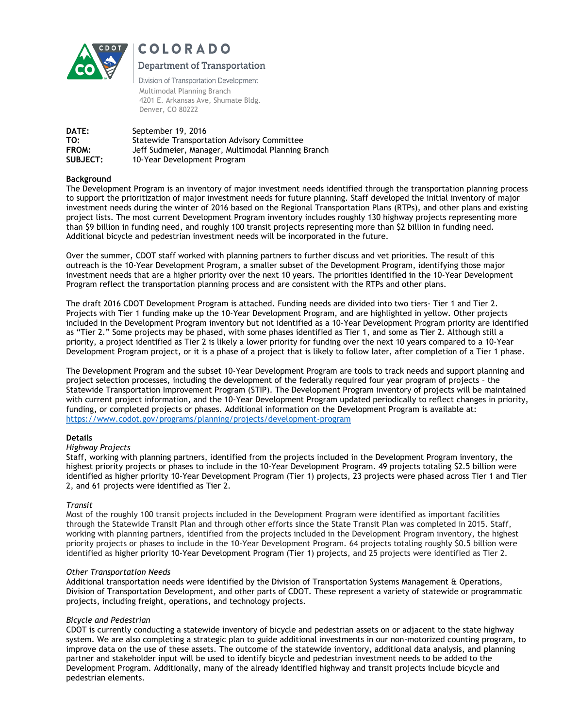

# COLORADO

## **Department of Transportation**

Division of Transportation Development Multimodal Planning Branch 4201 E. Arkansas Ave, Shumate Bldg. Denver, CO 80222

**DATE:** September 19, 2016 **TO:** Statewide Transportation Advisory Committee **FROM:** Jeff Sudmeier, Manager, Multimodal Planning Branch **SUBJECT:** 10-Year Development Program

### **Background**

The Development Program is an inventory of major investment needs identified through the transportation planning process to support the prioritization of major investment needs for future planning. Staff developed the initial inventory of major investment needs during the winter of 2016 based on the Regional Transportation Plans (RTPs), and other plans and existing project lists. The most current Development Program inventory includes roughly 130 highway projects representing more than \$9 billion in funding need, and roughly 100 transit projects representing more than \$2 billion in funding need. Additional bicycle and pedestrian investment needs will be incorporated in the future.

Over the summer, CDOT staff worked with planning partners to further discuss and vet priorities. The result of this outreach is the 10-Year Development Program, a smaller subset of the Development Program, identifying those major investment needs that are a higher priority over the next 10 years. The priorities identified in the 10-Year Development Program reflect the transportation planning process and are consistent with the RTPs and other plans.

The draft 2016 CDOT Development Program is attached. Funding needs are divided into two tiers- Tier 1 and Tier 2. Projects with Tier 1 funding make up the 10-Year Development Program, and are highlighted in yellow. Other projects included in the Development Program inventory but not identified as a 10-Year Development Program priority are identified as "Tier 2." Some projects may be phased, with some phases identified as Tier 1, and some as Tier 2. Although still a priority, a project identified as Tier 2 is likely a lower priority for funding over the next 10 years compared to a 10-Year Development Program project, or it is a phase of a project that is likely to follow later, after completion of a Tier 1 phase.

The Development Program and the subset 10-Year Development Program are tools to track needs and support planning and project selection processes, including the development of the federally required four year program of projects – the Statewide Transportation Improvement Program (STIP). The Development Program inventory of projects will be maintained with current project information, and the 10-Year Development Program updated periodically to reflect changes in priority, funding, or completed projects or phases. Additional information on the Development Program is available at: <https://www.codot.gov/programs/planning/projects/development-program>

#### **Details**

#### *Highway Projects*

Staff, working with planning partners, identified from the projects included in the Development Program inventory, the highest priority projects or phases to include in the 10-Year Development Program. 49 projects totaling \$2.5 billion were identified as higher priority 10-Year Development Program (Tier 1) projects, 23 projects were phased across Tier 1 and Tier 2, and 61 projects were identified as Tier 2.

## *Transit*

Most of the roughly 100 transit projects included in the Development Program were identified as important facilities through the Statewide Transit Plan and through other efforts since the State Transit Plan was completed in 2015. Staff, working with planning partners, identified from the projects included in the Development Program inventory, the highest priority projects or phases to include in the 10-Year Development Program. 64 projects totaling roughly \$0.5 billion were identified as higher priority 10-Year Development Program (Tier 1) projects, and 25 projects were identified as Tier 2.

#### *Other Transportation Needs*

Additional transportation needs were identified by the Division of Transportation Systems Management & Operations, Division of Transportation Development, and other parts of CDOT. These represent a variety of statewide or programmatic projects, including freight, operations, and technology projects.

#### *Bicycle and Pedestrian*

CDOT is currently conducting a statewide inventory of bicycle and pedestrian assets on or adjacent to the state highway system. We are also completing a strategic plan to guide additional investments in our non-motorized counting program, to improve data on the use of these assets. The outcome of the statewide inventory, additional data analysis, and planning partner and stakeholder input will be used to identify bicycle and pedestrian investment needs to be added to the Development Program. Additionally, many of the already identified highway and transit projects include bicycle and pedestrian elements.